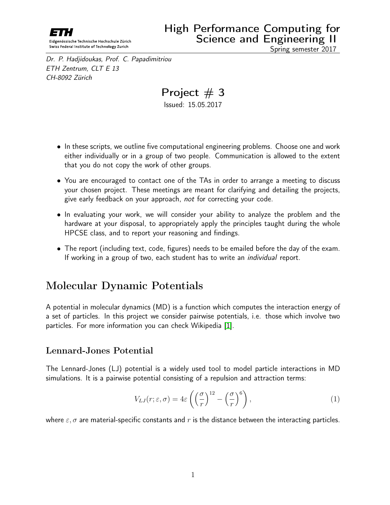

Dr. P. Hadjidoukas, Prof. C. Papadimitriou ETH Zentrum, CLT E 13 CH-8092 Zürich

Project  $# 3$ Issued: 15.05.2017

- In these scripts, we outline five computational engineering problems. Choose one and work either individually or in a group of two people. Communication is allowed to the extent that you do not copy the work of other groups.
- You are encouraged to contact one of the TAs in order to arrange a meeting to discuss your chosen project. These meetings are meant for clarifying and detailing the projects, give early feedback on your approach, not for correcting your code.
- In evaluating your work, we will consider your ability to analyze the problem and the hardware at your disposal, to appropriately apply the principles taught during the whole HPCSE class, and to report your reasoning and findings.
- The report (including text, code, figures) needs to be emailed before the day of the exam. If working in a group of two, each student has to write an *individual* report.

## Molecular Dynamic Potentials

A potential in molecular dynamics (MD) is a function which computes the interaction energy of a set of particles. In this project we consider pairwise potentials, i.e. those which involve two particles. For more information you can check Wikipedia [\[1\]](#page-2-0).

#### Lennard-Jones Potential

The Lennard-Jones (LJ) potential is a widely used tool to model particle interactions in MD simulations. It is a pairwise potential consisting of a repulsion and attraction terms:

$$
V_{LJ}(r; \varepsilon, \sigma) = 4\varepsilon \left( \left( \frac{\sigma}{r} \right)^{12} - \left( \frac{\sigma}{r} \right)^6 \right), \tag{1}
$$

where  $\varepsilon$ ,  $\sigma$  are material-specific constants and r is the distance between the interacting particles.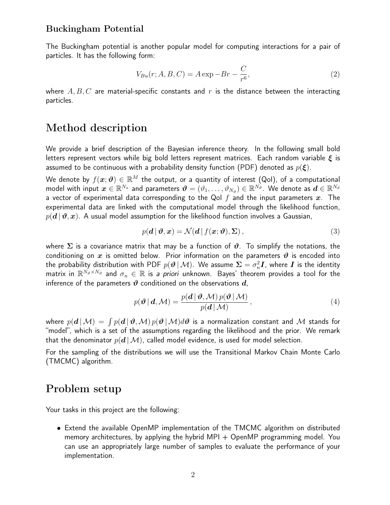#### Buckingham Potential

The Buckingham potential is another popular model for computing interactions for a pair of particles. It has the following form:

$$
V_{Bu}(r; A, B, C) = A \exp{-Br} - \frac{C}{r^6},
$$
\n(2)

where  $A, B, C$  are material-specific constants and r is the distance between the interacting particles.

## Method description

We provide a brief description of the Bayesian inference theory. In the following small bold letters represent vectors while big bold letters represent matrices. Each random variable  $\xi$  is assumed to be continuous with a probability density function (PDF) denoted as  $p(\boldsymbol{\xi})$ .

We denote by  $f(\bm{x};\bm{\vartheta})\in\mathbb{R}^M$  the output, or a quantity of interest (QoI), of a computational model with input  $\bm{x}\in\mathbb{R}^{N_x}$  and parameters  $\bm{\vartheta}=(\vartheta_1,\ldots,\vartheta_{N_\vartheta})\in\mathbb{R}^{N_\vartheta}.$  We denote as  $\bm{d}\in\mathbb{R}^{N_d}$ a vector of experimental data corresponding to the QoI  $f$  and the input parameters  $x$ . The experimental data are linked with the computational model through the likelihood function,  $p(\bm{d} | \bm{\vartheta}, \bm{x})$ . A usual model assumption for the likelihood function involves a Gaussian,

$$
p(\mathbf{d} \,|\, \boldsymbol{\vartheta}, \mathbf{x}) = \mathcal{N}(\mathbf{d} \,|\, f(\mathbf{x}; \boldsymbol{\vartheta}), \boldsymbol{\Sigma}), \tag{3}
$$

where  $\Sigma$  is a covariance matrix that may be a function of  $\vartheta$ . To simplify the notations, the conditioning on x is omitted below. Prior information on the parameters  $\vartheta$  is encoded into the probability distribution with PDF  $p(\bm{\vartheta} \,|\, \mathcal{M})$ . We assume  $\bm{\Sigma} = \sigma_n^2 \bm{I}$ , where  $\bm{I}$  is the identity matrix in  $\mathbb{R}^{N_\vartheta \times N_\vartheta}$  and  $\sigma_n \in \mathbb{R}$  is *a priori* unknown. Bayes' theorem provides a tool for the inference of the parameters  $\vartheta$  conditioned on the observations  $d$ ,

$$
p(\boldsymbol{\vartheta} \mid \boldsymbol{d}, \mathcal{M}) = \frac{p(\boldsymbol{d} \mid \boldsymbol{\vartheta}, \mathcal{M}) p(\boldsymbol{\vartheta} \mid \mathcal{M})}{p(\boldsymbol{d} \mid \mathcal{M})},
$$
\n(4)

where  $p(\bm{d}\,|\,\mathcal{M})\,=\,\int p(\bm{d}\,|\,\bm{\vartheta},\mathcal{M})\,p(\bm{\vartheta}\,|\,\mathcal{M})d\bm{\vartheta}$  is a normalization constant and  $\bm{\mathcal{M}}$  stands for "model", which is a set of the assumptions regarding the likelihood and the prior. We remark that the denominator  $p(d | \mathcal{M})$ , called model evidence, is used for model selection.

For the sampling of the distributions we will use the Transitional Markov Chain Monte Carlo (TMCMC) algorithm.

### Problem setup

Your tasks in this project are the following:

• Extend the available OpenMP implementation of the TMCMC algorithm on distributed memory architectures, by applying the hybrid  $MPI + OpenMP$  programming model. You can use an appropriately large number of samples to evaluate the performance of your implementation.